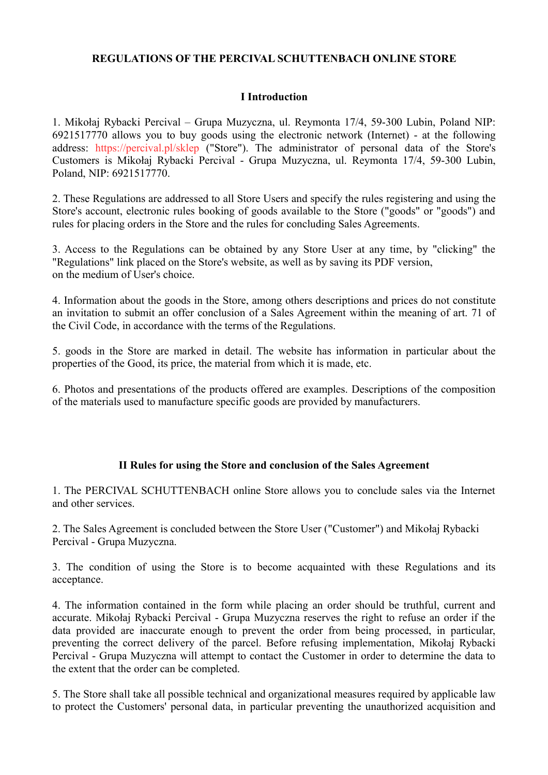#### **REGULATIONS OF THE PERCIVAL SCHUTTENBACH ONLINE STORE**

#### **I Introduction**

1. Mikołaj Rybacki Percival – Grupa Muzyczna, ul. Reymonta 17/4, 59-300 Lubin, Poland NIP: 6921517770 allows you to buy goods using the electronic network (Internet) - at the following address: https://percival.pl/sklep ("Store"). The administrator of personal data of the Store's Customers is Mikołaj Rybacki Percival - Grupa Muzyczna, ul. Reymonta 17/4, 59-300 Lubin, Poland, NIP: 6921517770.

2. These Regulations are addressed to all Store Users and specify the rules registering and using the Store's account, electronic rules booking of goods available to the Store ("goods" or "goods") and rules for placing orders in the Store and the rules for concluding Sales Agreements.

3. Access to the Regulations can be obtained by any Store User at any time, by "clicking" the "Regulations" link placed on the Store's website, as well as by saving its PDF version, on the medium of User's choice.

4. Information about the goods in the Store, among others descriptions and prices do not constitute an invitation to submit an offer conclusion of a Sales Agreement within the meaning of art. 71 of the Civil Code, in accordance with the terms of the Regulations.

5. goods in the Store are marked in detail. The website has information in particular about the properties of the Good, its price, the material from which it is made, etc.

6. Photos and presentations of the products offered are examples. Descriptions of the composition of the materials used to manufacture specific goods are provided by manufacturers.

#### **II Rules for using the Store and conclusion of the Sales Agreement**

1. The PERCIVAL SCHUTTENBACH online Store allows you to conclude sales via the Internet and other services.

2. The Sales Agreement is concluded between the Store User ("Customer") and Mikołaj Rybacki Percival - Grupa Muzyczna.

3. The condition of using the Store is to become acquainted with these Regulations and its acceptance.

4. The information contained in the form while placing an order should be truthful, current and accurate. Mikołaj Rybacki Percival - Grupa Muzyczna reserves the right to refuse an order if the data provided are inaccurate enough to prevent the order from being processed, in particular, preventing the correct delivery of the parcel. Before refusing implementation, Mikołaj Rybacki Percival - Grupa Muzyczna will attempt to contact the Customer in order to determine the data to the extent that the order can be completed.

5. The Store shall take all possible technical and organizational measures required by applicable law to protect the Customers' personal data, in particular preventing the unauthorized acquisition and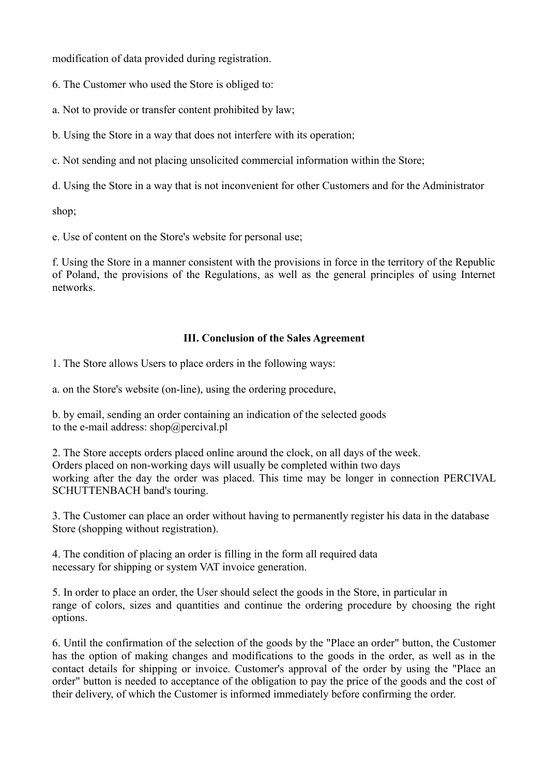modification of data provided during registration.

6. The Customer who used the Store is obliged to:

a. Not to provide or transfer content prohibited by law;

b. Using the Store in a way that does not interfere with its operation;

c. Not sending and not placing unsolicited commercial information within the Store;

d. Using the Store in a way that is not inconvenient for other Customers and for the Administrator

shop;

e. Use of content on the Store's website for personal use;

f. Using the Store in a manner consistent with the provisions in force in the territory of the Republic of Poland, the provisions of the Regulations, as well as the general principles of using Internet networks.

#### **III. Conclusion of the Sales Agreement**

1. The Store allows Users to place orders in the following ways:

a. on the Store's website (on-line), using the ordering procedure,

b. by email, sending an order containing an indication of the selected goods to the e-mail address: shop@percival.pl

2. The Store accepts orders placed online around the clock, on all days of the week. Orders placed on non-working days will usually be completed within two days working after the day the order was placed. This time may be longer in connection PERCIVAL SCHUTTENBACH band's touring.

3. The Customer can place an order without having to permanently register his data in the database Store (shopping without registration).

4. The condition of placing an order is filling in the form all required data necessary for shipping or system VAT invoice generation.

5. In order to place an order, the User should select the goods in the Store, in particular in range of colors, sizes and quantities and continue the ordering procedure by choosing the right options.

6. Until the confirmation of the selection of the goods by the "Place an order" button, the Customer has the option of making changes and modifications to the goods in the order, as well as in the contact details for shipping or invoice. Customer's approval of the order by using the "Place an order" button is needed to acceptance of the obligation to pay the price of the goods and the cost of their delivery, of which the Customer is informed immediately before confirming the order.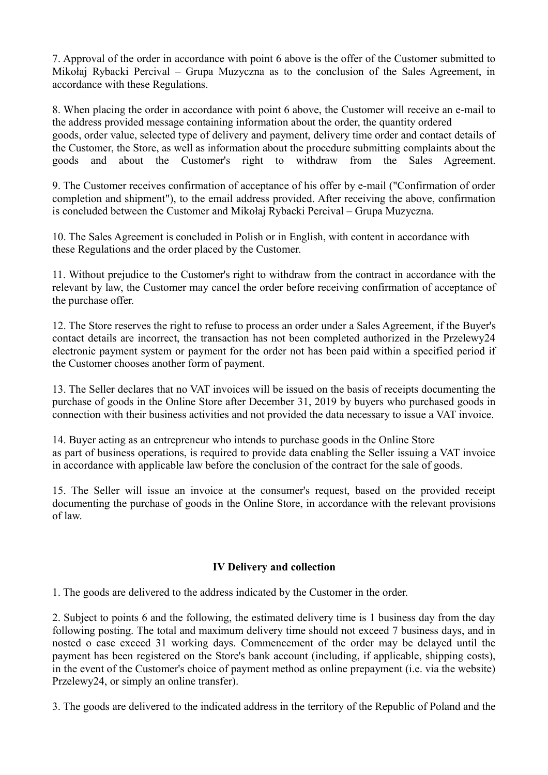7. Approval of the order in accordance with point 6 above is the offer of the Customer submitted to Mikołaj Rybacki Percival – Grupa Muzyczna as to the conclusion of the Sales Agreement, in accordance with these Regulations.

8. When placing the order in accordance with point 6 above, the Customer will receive an e-mail to the address provided message containing information about the order, the quantity ordered goods, order value, selected type of delivery and payment, delivery time order and contact details of the Customer, the Store, as well as information about the procedure submitting complaints about the goods and about the Customer's right to withdraw from the Sales Agreement.

9. The Customer receives confirmation of acceptance of his offer by e-mail ("Confirmation of order completion and shipment"), to the email address provided. After receiving the above, confirmation is concluded between the Customer and Mikołaj Rybacki Percival – Grupa Muzyczna.

10. The Sales Agreement is concluded in Polish or in English, with content in accordance with these Regulations and the order placed by the Customer.

11. Without prejudice to the Customer's right to withdraw from the contract in accordance with the relevant by law, the Customer may cancel the order before receiving confirmation of acceptance of the purchase offer.

12. The Store reserves the right to refuse to process an order under a Sales Agreement, if the Buyer's contact details are incorrect, the transaction has not been completed authorized in the Przelewy24 electronic payment system or payment for the order not has been paid within a specified period if the Customer chooses another form of payment.

13. The Seller declares that no VAT invoices will be issued on the basis of receipts documenting the purchase of goods in the Online Store after December 31, 2019 by buyers who purchased goods in connection with their business activities and not provided the data necessary to issue a VAT invoice.

14. Buyer acting as an entrepreneur who intends to purchase goods in the Online Store as part of business operations, is required to provide data enabling the Seller issuing a VAT invoice in accordance with applicable law before the conclusion of the contract for the sale of goods.

15. The Seller will issue an invoice at the consumer's request, based on the provided receipt documenting the purchase of goods in the Online Store, in accordance with the relevant provisions of law.

### **IV Delivery and collection**

1. The goods are delivered to the address indicated by the Customer in the order.

2. Subject to points 6 and the following, the estimated delivery time is 1 business day from the day following posting. The total and maximum delivery time should not exceed 7 business days, and in nosted o case exceed 31 working days. Commencement of the order may be delayed until the payment has been registered on the Store's bank account (including, if applicable, shipping costs), in the event of the Customer's choice of payment method as online prepayment (i.e. via the website) Przelewy24, or simply an online transfer).

3. The goods are delivered to the indicated address in the territory of the Republic of Poland and the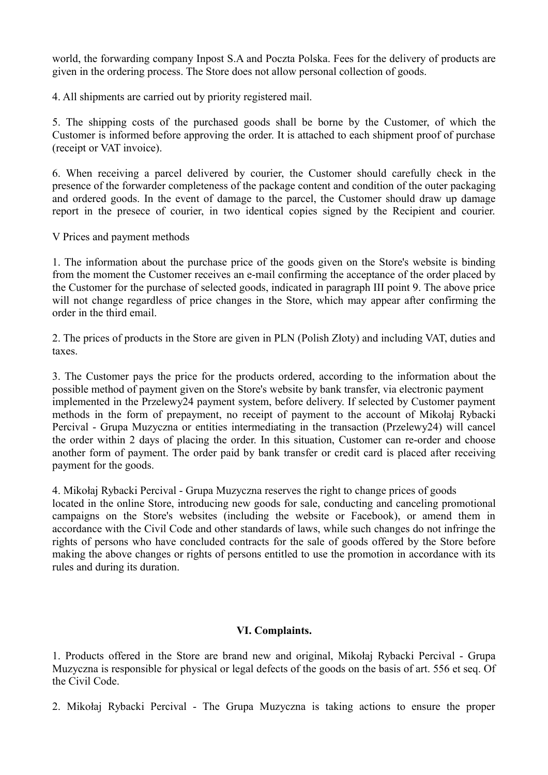world, the forwarding company Inpost S.A and Poczta Polska. Fees for the delivery of products are given in the ordering process. The Store does not allow personal collection of goods.

4. All shipments are carried out by priority registered mail.

5. The shipping costs of the purchased goods shall be borne by the Customer, of which the Customer is informed before approving the order. It is attached to each shipment proof of purchase (receipt or VAT invoice).

6. When receiving a parcel delivered by courier, the Customer should carefully check in the presence of the forwarder completeness of the package content and condition of the outer packaging and ordered goods. In the event of damage to the parcel, the Customer should draw up damage report in the presece of courier, in two identical copies signed by the Recipient and courier.

V Prices and payment methods

1. The information about the purchase price of the goods given on the Store's website is binding from the moment the Customer receives an e-mail confirming the acceptance of the order placed by the Customer for the purchase of selected goods, indicated in paragraph III point 9. The above price will not change regardless of price changes in the Store, which may appear after confirming the order in the third email.

2. The prices of products in the Store are given in PLN (Polish Złoty) and including VAT, duties and taxes.

3. The Customer pays the price for the products ordered, according to the information about the possible method of payment given on the Store's website by bank transfer, via electronic payment implemented in the Przelewy24 payment system, before delivery. If selected by Customer payment methods in the form of prepayment, no receipt of payment to the account of Mikołaj Rybacki Percival - Grupa Muzyczna or entities intermediating in the transaction (Przelewy24) will cancel the order within 2 days of placing the order. In this situation, Customer can re-order and choose another form of payment. The order paid by bank transfer or credit card is placed after receiving payment for the goods.

4. Mikołaj Rybacki Percival - Grupa Muzyczna reserves the right to change prices of goods

located in the online Store, introducing new goods for sale, conducting and canceling promotional campaigns on the Store's websites (including the website or Facebook), or amend them in accordance with the Civil Code and other standards of laws, while such changes do not infringe the rights of persons who have concluded contracts for the sale of goods offered by the Store before making the above changes or rights of persons entitled to use the promotion in accordance with its rules and during its duration.

### **VI. Complaints.**

1. Products offered in the Store are brand new and original, Mikołaj Rybacki Percival - Grupa Muzyczna is responsible for physical or legal defects of the goods on the basis of art. 556 et seq. Of the Civil Code.

2. Mikołaj Rybacki Percival - The Grupa Muzyczna is taking actions to ensure the proper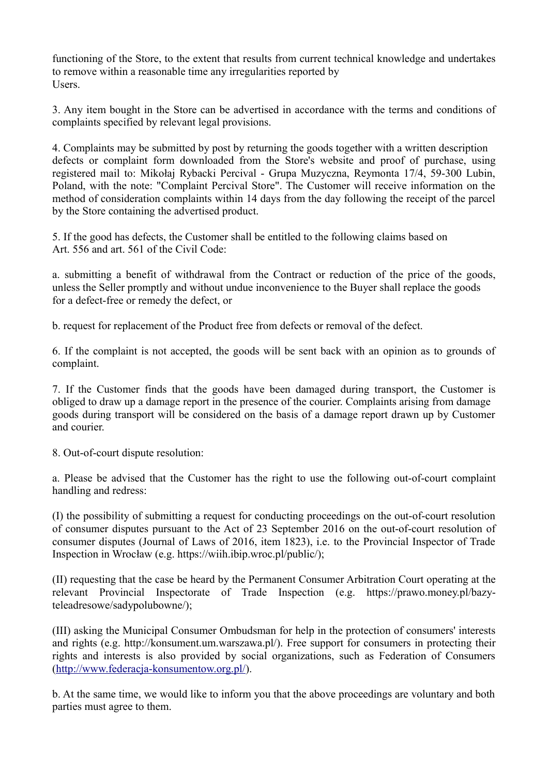functioning of the Store, to the extent that results from current technical knowledge and undertakes to remove within a reasonable time any irregularities reported by Users.

3. Any item bought in the Store can be advertised in accordance with the terms and conditions of complaints specified by relevant legal provisions.

4. Complaints may be submitted by post by returning the goods together with a written description defects or complaint form downloaded from the Store's website and proof of purchase, using registered mail to: Mikołaj Rybacki Percival - Grupa Muzyczna, Reymonta 17/4, 59-300 Lubin, Poland, with the note: "Complaint Percival Store". The Customer will receive information on the method of consideration complaints within 14 days from the day following the receipt of the parcel by the Store containing the advertised product.

5. If the good has defects, the Customer shall be entitled to the following claims based on Art. 556 and art. 561 of the Civil Code:

a. submitting a benefit of withdrawal from the Contract or reduction of the price of the goods, unless the Seller promptly and without undue inconvenience to the Buyer shall replace the goods for a defect-free or remedy the defect, or

b. request for replacement of the Product free from defects or removal of the defect.

6. If the complaint is not accepted, the goods will be sent back with an opinion as to grounds of complaint.

7. If the Customer finds that the goods have been damaged during transport, the Customer is obliged to draw up a damage report in the presence of the courier. Complaints arising from damage goods during transport will be considered on the basis of a damage report drawn up by Customer and courier.

8. Out-of-court dispute resolution:

a. Please be advised that the Customer has the right to use the following out-of-court complaint handling and redress:

(I) the possibility of submitting a request for conducting proceedings on the out-of-court resolution of consumer disputes pursuant to the Act of 23 September 2016 on the out-of-court resolution of consumer disputes (Journal of Laws of 2016, item 1823), i.e. to the Provincial Inspector of Trade Inspection in Wrocław (e.g. https://wiih.ibip.wroc.pl/public/);

(II) requesting that the case be heard by the Permanent Consumer Arbitration Court operating at the relevant Provincial Inspectorate of Trade Inspection (e.g. https://prawo.money.pl/bazyteleadresowe/sadypolubowne/);

(III) asking the Municipal Consumer Ombudsman for help in the protection of consumers' interests and rights (e.g. http://konsument.um.warszawa.pl/). Free support for consumers in protecting their rights and interests is also provided by social organizations, such as Federation of Consumers [\(http://www.federacja-konsumentow.org.pl/\)](http://www.federacja-konsumentow.org.pl/).

b. At the same time, we would like to inform you that the above proceedings are voluntary and both parties must agree to them.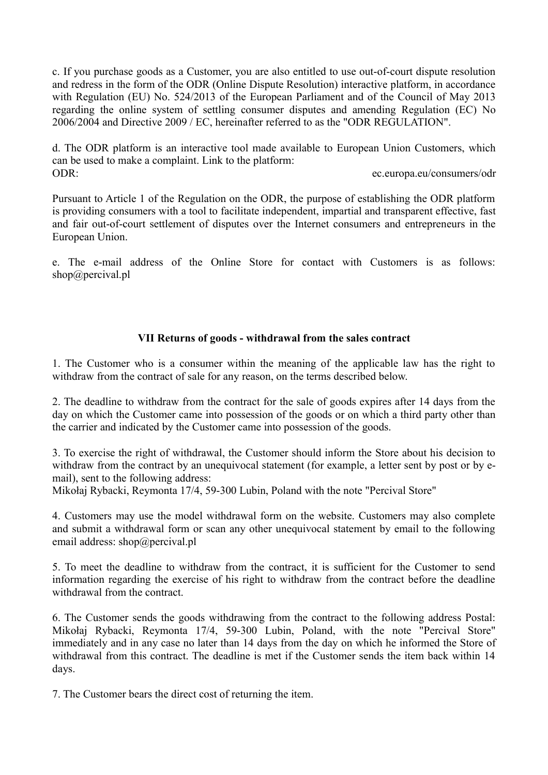c. If you purchase goods as a Customer, you are also entitled to use out-of-court dispute resolution and redress in the form of the ODR (Online Dispute Resolution) interactive platform, in accordance with Regulation (EU) No. 524/2013 of the European Parliament and of the Council of May 2013 regarding the online system of settling consumer disputes and amending Regulation (EC) No 2006/2004 and Directive 2009 / EC, hereinafter referred to as the "ODR REGULATION".

d. The ODR platform is an interactive tool made available to European Union Customers, which can be used to make a complaint. Link to the platform: ODR: ec.europa.eu/consumers/odr

Pursuant to Article 1 of the Regulation on the ODR, the purpose of establishing the ODR platform is providing consumers with a tool to facilitate independent, impartial and transparent effective, fast and fair out-of-court settlement of disputes over the Internet consumers and entrepreneurs in the European Union.

e. The e-mail address of the Online Store for contact with Customers is as follows: shop@percival.pl

# **VII Returns of goods - withdrawal from the sales contract**

1. The Customer who is a consumer within the meaning of the applicable law has the right to withdraw from the contract of sale for any reason, on the terms described below.

2. The deadline to withdraw from the contract for the sale of goods expires after 14 days from the day on which the Customer came into possession of the goods or on which a third party other than the carrier and indicated by the Customer came into possession of the goods.

3. To exercise the right of withdrawal, the Customer should inform the Store about his decision to withdraw from the contract by an unequivocal statement (for example, a letter sent by post or by email), sent to the following address:

Mikołaj Rybacki, Reymonta 17/4, 59-300 Lubin, Poland with the note "Percival Store"

4. Customers may use the model withdrawal form on the website. Customers may also complete and submit a withdrawal form or scan any other unequivocal statement by email to the following email address: shop@percival.pl

5. To meet the deadline to withdraw from the contract, it is sufficient for the Customer to send information regarding the exercise of his right to withdraw from the contract before the deadline withdrawal from the contract.

6. The Customer sends the goods withdrawing from the contract to the following address Postal: Mikołaj Rybacki, Reymonta 17/4, 59-300 Lubin, Poland, with the note "Percival Store" immediately and in any case no later than 14 days from the day on which he informed the Store of withdrawal from this contract. The deadline is met if the Customer sends the item back within 14 days.

7. The Customer bears the direct cost of returning the item.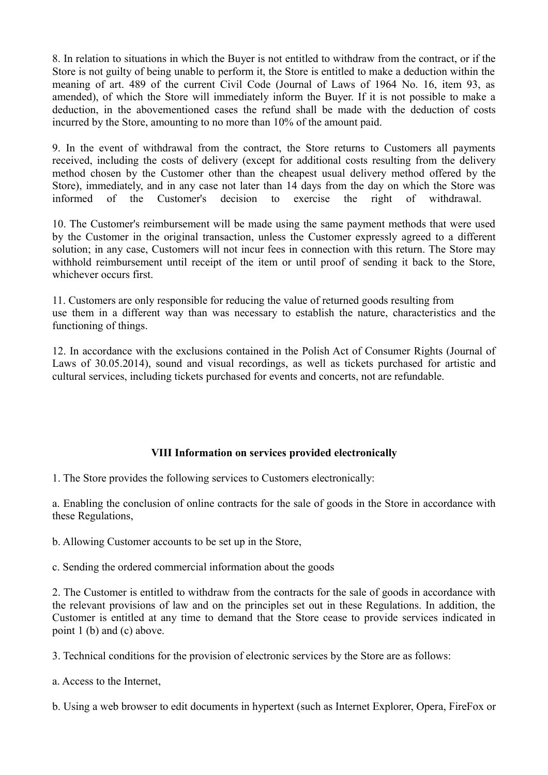8. In relation to situations in which the Buyer is not entitled to withdraw from the contract, or if the Store is not guilty of being unable to perform it, the Store is entitled to make a deduction within the meaning of art. 489 of the current Civil Code (Journal of Laws of 1964 No. 16, item 93, as amended), of which the Store will immediately inform the Buyer. If it is not possible to make a deduction, in the abovementioned cases the refund shall be made with the deduction of costs incurred by the Store, amounting to no more than 10% of the amount paid.

9. In the event of withdrawal from the contract, the Store returns to Customers all payments received, including the costs of delivery (except for additional costs resulting from the delivery method chosen by the Customer other than the cheapest usual delivery method offered by the Store), immediately, and in any case not later than 14 days from the day on which the Store was informed of the Customer's decision to exercise the right of withdrawal.

10. The Customer's reimbursement will be made using the same payment methods that were used by the Customer in the original transaction, unless the Customer expressly agreed to a different solution; in any case, Customers will not incur fees in connection with this return. The Store may withhold reimbursement until receipt of the item or until proof of sending it back to the Store, whichever occurs first.

11. Customers are only responsible for reducing the value of returned goods resulting from use them in a different way than was necessary to establish the nature, characteristics and the functioning of things.

12. In accordance with the exclusions contained in the Polish Act of Consumer Rights (Journal of Laws of 30.05.2014), sound and visual recordings, as well as tickets purchased for artistic and cultural services, including tickets purchased for events and concerts, not are refundable.

### **VIII Information on services provided electronically**

1. The Store provides the following services to Customers electronically:

a. Enabling the conclusion of online contracts for the sale of goods in the Store in accordance with these Regulations,

b. Allowing Customer accounts to be set up in the Store,

c. Sending the ordered commercial information about the goods

2. The Customer is entitled to withdraw from the contracts for the sale of goods in accordance with the relevant provisions of law and on the principles set out in these Regulations. In addition, the Customer is entitled at any time to demand that the Store cease to provide services indicated in point 1 (b) and (c) above.

3. Technical conditions for the provision of electronic services by the Store are as follows:

a. Access to the Internet,

b. Using a web browser to edit documents in hypertext (such as Internet Explorer, Opera, FireFox or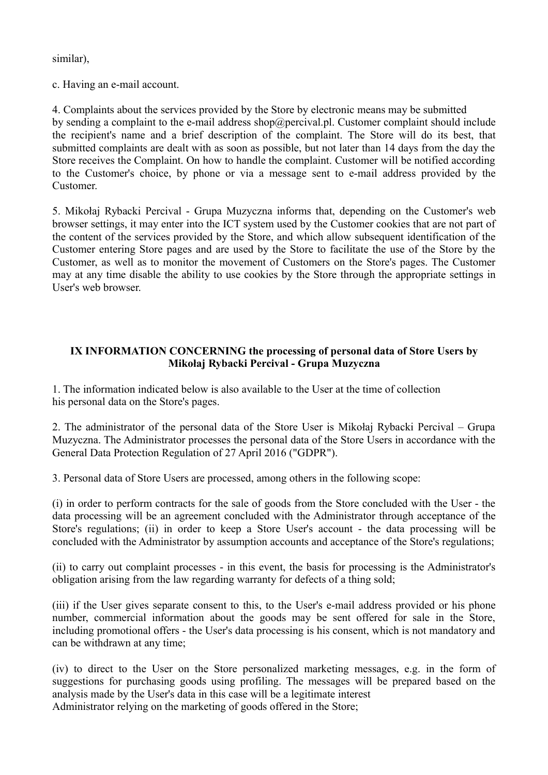similar),

c. Having an e-mail account.

4. Complaints about the services provided by the Store by electronic means may be submitted by sending a complaint to the e-mail address shop@percival.pl. Customer complaint should include the recipient's name and a brief description of the complaint. The Store will do its best, that submitted complaints are dealt with as soon as possible, but not later than 14 days from the day the Store receives the Complaint. On how to handle the complaint. Customer will be notified according to the Customer's choice, by phone or via a message sent to e-mail address provided by the Customer.

5. Mikołaj Rybacki Percival - Grupa Muzyczna informs that, depending on the Customer's web browser settings, it may enter into the ICT system used by the Customer cookies that are not part of the content of the services provided by the Store, and which allow subsequent identification of the Customer entering Store pages and are used by the Store to facilitate the use of the Store by the Customer, as well as to monitor the movement of Customers on the Store's pages. The Customer may at any time disable the ability to use cookies by the Store through the appropriate settings in User's web browser.

## **IX INFORMATION CONCERNING the processing of personal data of Store Users by Mikołaj Rybacki Percival - Grupa Muzyczna**

1. The information indicated below is also available to the User at the time of collection his personal data on the Store's pages.

2. The administrator of the personal data of the Store User is Mikołaj Rybacki Percival – Grupa Muzyczna. The Administrator processes the personal data of the Store Users in accordance with the General Data Protection Regulation of 27 April 2016 ("GDPR").

3. Personal data of Store Users are processed, among others in the following scope:

(i) in order to perform contracts for the sale of goods from the Store concluded with the User - the data processing will be an agreement concluded with the Administrator through acceptance of the Store's regulations; (ii) in order to keep a Store User's account - the data processing will be concluded with the Administrator by assumption accounts and acceptance of the Store's regulations;

(ii) to carry out complaint processes - in this event, the basis for processing is the Administrator's obligation arising from the law regarding warranty for defects of a thing sold;

(iii) if the User gives separate consent to this, to the User's e-mail address provided or his phone number, commercial information about the goods may be sent offered for sale in the Store, including promotional offers - the User's data processing is his consent, which is not mandatory and can be withdrawn at any time;

(iv) to direct to the User on the Store personalized marketing messages, e.g. in the form of suggestions for purchasing goods using profiling. The messages will be prepared based on the analysis made by the User's data in this case will be a legitimate interest Administrator relying on the marketing of goods offered in the Store;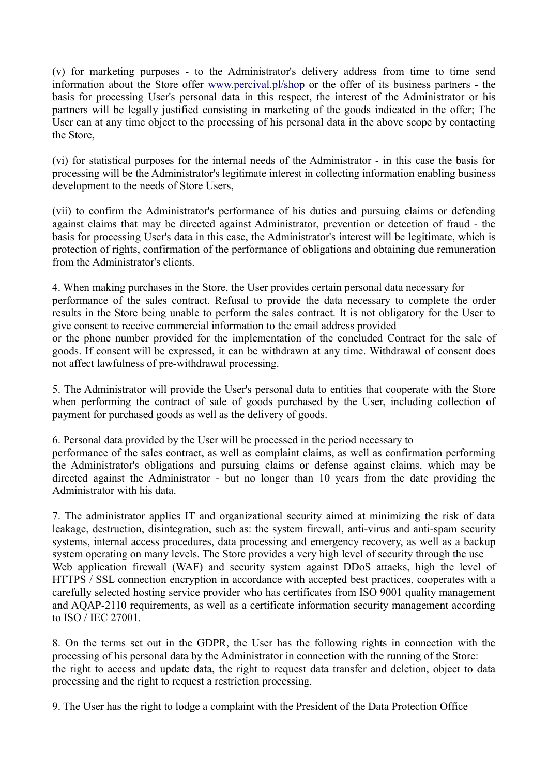(v) for marketing purposes - to the Administrator's delivery address from time to time send information about the Store offer [www.percival.pl/shop](http://www.percival.pl/shop) or the offer of its business partners - the basis for processing User's personal data in this respect, the interest of the Administrator or his partners will be legally justified consisting in marketing of the goods indicated in the offer; The User can at any time object to the processing of his personal data in the above scope by contacting the Store,

(vi) for statistical purposes for the internal needs of the Administrator - in this case the basis for processing will be the Administrator's legitimate interest in collecting information enabling business development to the needs of Store Users,

(vii) to confirm the Administrator's performance of his duties and pursuing claims or defending against claims that may be directed against Administrator, prevention or detection of fraud - the basis for processing User's data in this case, the Administrator's interest will be legitimate, which is protection of rights, confirmation of the performance of obligations and obtaining due remuneration from the Administrator's clients.

4. When making purchases in the Store, the User provides certain personal data necessary for performance of the sales contract. Refusal to provide the data necessary to complete the order results in the Store being unable to perform the sales contract. It is not obligatory for the User to give consent to receive commercial information to the email address provided or the phone number provided for the implementation of the concluded Contract for the sale of goods. If consent will be expressed, it can be withdrawn at any time. Withdrawal of consent does not affect lawfulness of pre-withdrawal processing.

5. The Administrator will provide the User's personal data to entities that cooperate with the Store when performing the contract of sale of goods purchased by the User, including collection of payment for purchased goods as well as the delivery of goods.

6. Personal data provided by the User will be processed in the period necessary to

performance of the sales contract, as well as complaint claims, as well as confirmation performing the Administrator's obligations and pursuing claims or defense against claims, which may be directed against the Administrator - but no longer than 10 years from the date providing the Administrator with his data.

7. The administrator applies IT and organizational security aimed at minimizing the risk of data leakage, destruction, disintegration, such as: the system firewall, anti-virus and anti-spam security systems, internal access procedures, data processing and emergency recovery, as well as a backup system operating on many levels. The Store provides a very high level of security through the use Web application firewall (WAF) and security system against DDoS attacks, high the level of HTTPS / SSL connection encryption in accordance with accepted best practices, cooperates with a carefully selected hosting service provider who has certificates from ISO 9001 quality management and AQAP-2110 requirements, as well as a certificate information security management according to ISO / IEC 27001.

8. On the terms set out in the GDPR, the User has the following rights in connection with the processing of his personal data by the Administrator in connection with the running of the Store: the right to access and update data, the right to request data transfer and deletion, object to data processing and the right to request a restriction processing.

9. The User has the right to lodge a complaint with the President of the Data Protection Office